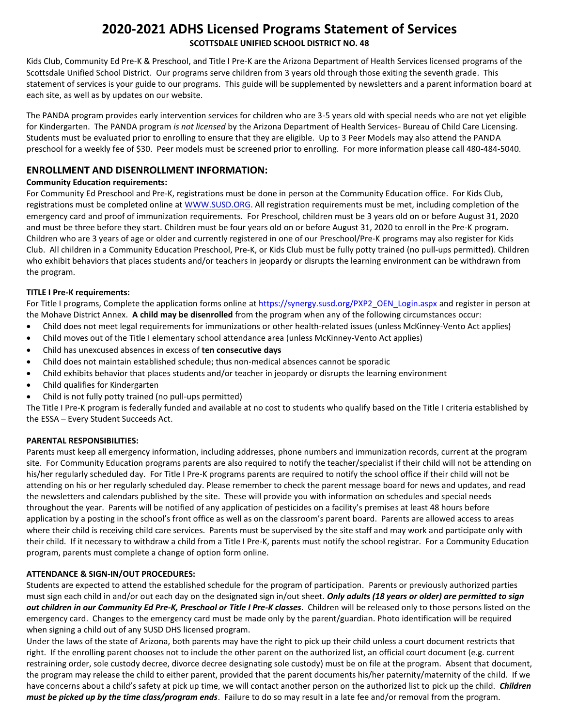# **2020-2021 ADHS Licensed Programs Statement of Services SCOTTSDALE UNIFIED SCHOOL DISTRICT NO. 48**

Kids Club, Community Ed Pre-K & Preschool, and Title I Pre-K are the Arizona Department of Health Services licensed programs of the Scottsdale Unified School District. Our programs serve children from 3 years old through those exiting the seventh grade. This statement of services is your guide to our programs. This guide will be supplemented by newsletters and a parent information board at each site, as well as by updates on our website.

The PANDA program provides early intervention services for children who are 3-5 years old with special needs who are not yet eligible for Kindergarten. The PANDA program *is not licensed* by the Arizona Department of Health Services- Bureau of Child Care Licensing. Students must be evaluated prior to enrolling to ensure that they are eligible. Up to 3 Peer Models may also attend the PANDA preschool for a weekly fee of \$30. Peer models must be screened prior to enrolling. For more information please call 480-484-5040.

# **ENROLLMENT AND DISENROLLMENT INFORMATION:**

# **Community Education requirements:**

For Community Ed Preschool and Pre-K, registrations must be done in person at the Community Education office. For Kids Club, registrations must be completed online at WWW.SUSD.ORG. All registration requirements must be met, including completion of the emergency card and proof of immunization requirements. For Preschool, children must be 3 years old on or before August 31, 2020 and must be three before they start. Children must be four years old on or before August 31, 2020 to enroll in the Pre-K program. Children who are 3 years of age or older and currently registered in one of our Preschool/Pre-K programs may also register for Kids Club. All children in a Community Education Preschool, Pre-K, or Kids Club must be fully potty trained (no pull-ups permitted). Children who exhibit behaviors that places students and/or teachers in jeopardy or disrupts the learning environment can be withdrawn from the program.

# **TITLE I Pre-K requirements:**

For Title I programs, Complete the application forms online at [https://synergy.susd.org/PXP2\\_OEN\\_Login.aspx](https://synergy.susd.org/PXP2_OEN_Login.aspx) and register in person at the Mohave District Annex. **A child may be disenrolled** from the program when any of the following circumstances occur:

- Child does not meet legal requirements for immunizations or other health-related issues (unless McKinney-Vento Act applies)
- Child moves out of the Title I elementary school attendance area (unless McKinney-Vento Act applies)
- Child has unexcused absences in excess of **ten consecutive days**
- Child does not maintain established schedule; thus non-medical absences cannot be sporadic
- Child exhibits behavior that places students and/or teacher in jeopardy or disrupts the learning environment
- Child qualifies for Kindergarten
- Child is not fully potty trained (no pull-ups permitted)

The Title I Pre-K program is federally funded and available at no cost to students who qualify based on the Title I criteria established by the ESSA – Every Student Succeeds Act.

# **PARENTAL RESPONSIBILITIES:**

Parents must keep all emergency information, including addresses, phone numbers and immunization records, current at the program site. For Community Education programs parents are also required to notify the teacher/specialist if their child will not be attending on his/her regularly scheduled day. For Title I Pre-K programs parents are required to notify the school office if their child will not be attending on his or her regularly scheduled day. Please remember to check the parent message board for news and updates, and read the newsletters and calendars published by the site. These will provide you with information on schedules and special needs throughout the year. Parents will be notified of any application of pesticides on a facility's premises at least 48 hours before application by a posting in the school's front office as well as on the classroom's parent board. Parents are allowed access to areas where their child is receiving child care services. Parents must be supervised by the site staff and may work and participate only with their child. If it necessary to withdraw a child from a Title I Pre-K, parents must notify the school registrar. For a Community Education program, parents must complete a change of option form online.

# **ATTENDANCE & SIGN-IN/OUT PROCEDURES:**

Students are expected to attend the established schedule for the program of participation. Parents or previously authorized parties must sign each child in and/or out each day on the designated sign in/out sheet. *Only adults (18 years or older) are permitted to sign out children in our Community Ed Pre-K, Preschool or Title I Pre-K classes*. Children will be released only to those persons listed on the emergency card. Changes to the emergency card must be made only by the parent/guardian. Photo identification will be required when signing a child out of any SUSD DHS licensed program.

Under the laws of the state of Arizona, both parents may have the right to pick up their child unless a court document restricts that right. If the enrolling parent chooses not to include the other parent on the authorized list, an official court document (e.g. current restraining order, sole custody decree, divorce decree designating sole custody) must be on file at the program. Absent that document, the program may release the child to either parent, provided that the parent documents his/her paternity/maternity of the child. If we have concerns about a child's safety at pick up time, we will contact another person on the authorized list to pick up the child. *Children must be picked up by the time class/program ends*. Failure to do so may result in a late fee and/or removal from the program.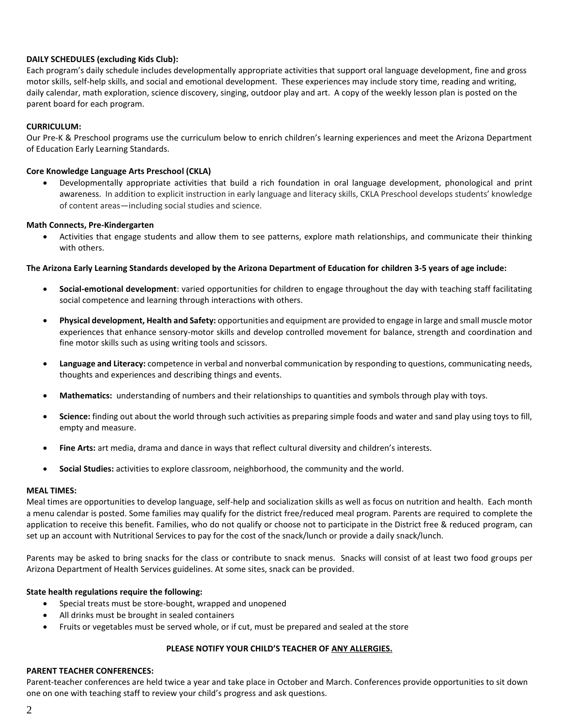### **DAILY SCHEDULES (excluding Kids Club):**

Each program's daily schedule includes developmentally appropriate activities that support oral language development, fine and gross motor skills, self-help skills, and social and emotional development. These experiences may include story time, reading and writing, daily calendar, math exploration, science discovery, singing, outdoor play and art. A copy of the weekly lesson plan is posted on the parent board for each program.

### **CURRICULUM:**

Our Pre-K & Preschool programs use the curriculum below to enrich children's learning experiences and meet the Arizona Department of Education Early Learning Standards.

### **Core Knowledge Language Arts Preschool (CKLA)**

 Developmentally appropriate activities that build a rich foundation in oral language development, phonological and print awareness. In addition to explicit instruction in early language and literacy skills, CKLA Preschool develops students' knowledge of content areas—including social studies and science.

### **Math Connects, Pre-Kindergarten**

 Activities that engage students and allow them to see patterns, explore math relationships, and communicate their thinking with others.

#### **The Arizona Early Learning Standards developed by the Arizona Department of Education for children 3-5 years of age include:**

- **Social-emotional development**: varied opportunities for children to engage throughout the day with teaching staff facilitating social competence and learning through interactions with others.
- **Physical development, Health and Safety:** opportunities and equipment are provided to engage in large and small muscle motor experiences that enhance sensory-motor skills and develop controlled movement for balance, strength and coordination and fine motor skills such as using writing tools and scissors.
- **Language and Literacy:** competence in verbal and nonverbal communication by responding to questions, communicating needs, thoughts and experiences and describing things and events.
- **Mathematics:** understanding of numbers and their relationships to quantities and symbols through play with toys.
- **Science:** finding out about the world through such activities as preparing simple foods and water and sand play using toys to fill, empty and measure.
- **Fine Arts:** art media, drama and dance in ways that reflect cultural diversity and children's interests.
- **Social Studies:** activities to explore classroom, neighborhood, the community and the world.

### **MEAL TIMES:**

Meal times are opportunities to develop language, self-help and socialization skills as well as focus on nutrition and health. Each month a menu calendar is posted. Some families may qualify for the district free/reduced meal program. Parents are required to complete the application to receive this benefit. Families, who do not qualify or choose not to participate in the District free & reduced program, can set up an account with Nutritional Services to pay for the cost of the snack/lunch or provide a daily snack/lunch.

Parents may be asked to bring snacks for the class or contribute to snack menus. Snacks will consist of at least two food groups per Arizona Department of Health Services guidelines. At some sites, snack can be provided.

### **State health regulations require the following:**

- Special treats must be store-bought, wrapped and unopened
- All drinks must be brought in sealed containers
- Fruits or vegetables must be served whole, or if cut, must be prepared and sealed at the store

### **PLEASE NOTIFY YOUR CHILD'S TEACHER OF ANY ALLERGIES.**

### **PARENT TEACHER CONFERENCES:**

Parent-teacher conferences are held twice a year and take place in October and March. Conferences provide opportunities to sit down one on one with teaching staff to review your child's progress and ask questions.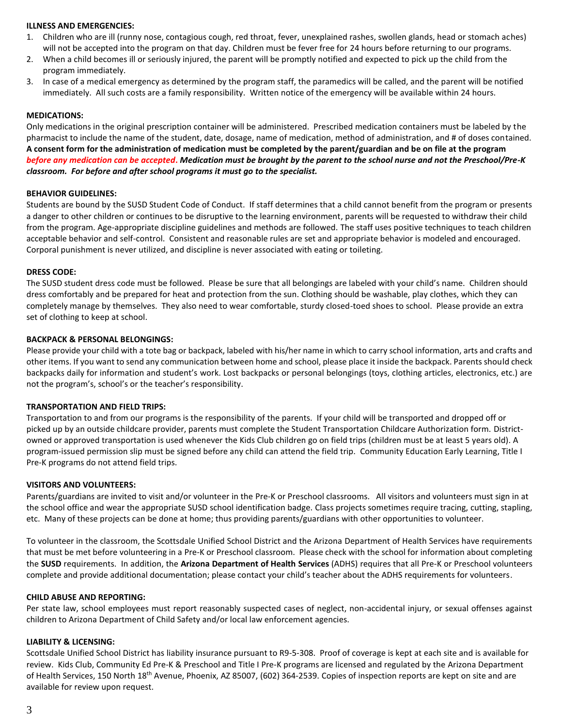#### **ILLNESS AND EMERGENCIES:**

- 1. Children who are ill (runny nose, contagious cough, red throat, fever, unexplained rashes, swollen glands, head or stomach aches) will not be accepted into the program on that day. Children must be fever free for 24 hours before returning to our programs.
- 2. When a child becomes ill or seriously injured, the parent will be promptly notified and expected to pick up the child from the program immediately.
- 3. In case of a medical emergency as determined by the program staff, the paramedics will be called, and the parent will be notified immediately. All such costs are a family responsibility. Written notice of the emergency will be available within 24 hours.

#### **MEDICATIONS:**

Only medications in the original prescription container will be administered. Prescribed medication containers must be labeled by the pharmacist to include the name of the student, date, dosage, name of medication, method of administration, and # of doses contained. **A consent form for the administration of medication must be completed by the parent/guardian and be on file at the program**  *before any medication can be accepted***.** *Medication must be brought by the parent to the school nurse and not the Preschool/Pre-K classroom. For before and after school programs it must go to the specialist.*

#### **BEHAVIOR GUIDELINES:**

Students are bound by the SUSD Student Code of Conduct. If staff determines that a child cannot benefit from the program or presents a danger to other children or continues to be disruptive to the learning environment, parents will be requested to withdraw their child from the program. Age-appropriate discipline guidelines and methods are followed. The staff uses positive techniques to teach children acceptable behavior and self-control. Consistent and reasonable rules are set and appropriate behavior is modeled and encouraged. Corporal punishment is never utilized, and discipline is never associated with eating or toileting.

#### **DRESS CODE:**

The SUSD student dress code must be followed. Please be sure that all belongings are labeled with your child's name. Children should dress comfortably and be prepared for heat and protection from the sun. Clothing should be washable, play clothes, which they can completely manage by themselves. They also need to wear comfortable, sturdy closed-toed shoes to school. Please provide an extra set of clothing to keep at school.

#### **BACKPACK & PERSONAL BELONGINGS:**

Please provide your child with a tote bag or backpack, labeled with his/her name in which to carry school information, arts and crafts and other items. If you want to send any communication between home and school, please place it inside the backpack. Parents should check backpacks daily for information and student's work. Lost backpacks or personal belongings (toys, clothing articles, electronics, etc.) are not the program's, school's or the teacher's responsibility.

#### **TRANSPORTATION AND FIELD TRIPS:**

Transportation to and from our programs is the responsibility of the parents. If your child will be transported and dropped off or picked up by an outside childcare provider, parents must complete the Student Transportation Childcare Authorization form. Districtowned or approved transportation is used whenever the Kids Club children go on field trips (children must be at least 5 years old). A program-issued permission slip must be signed before any child can attend the field trip. Community Education Early Learning, Title I Pre-K programs do not attend field trips.

#### **VISITORS AND VOLUNTEERS:**

Parents/guardians are invited to visit and/or volunteer in the Pre-K or Preschool classrooms. All visitors and volunteers must sign in at the school office and wear the appropriate SUSD school identification badge. Class projects sometimes require tracing, cutting, stapling, etc. Many of these projects can be done at home; thus providing parents/guardians with other opportunities to volunteer.

To volunteer in the classroom, the Scottsdale Unified School District and the Arizona Department of Health Services have requirements that must be met before volunteering in a Pre-K or Preschool classroom. Please check with the school for information about completing the **SUSD** requirements. In addition, the **Arizona Department of Health Services** (ADHS) requires that all Pre-K or Preschool volunteers complete and provide additional documentation; please contact your child's teacher about the ADHS requirements for volunteers.

#### **CHILD ABUSE AND REPORTING:**

Per state law, school employees must report reasonably suspected cases of neglect, non-accidental injury, or sexual offenses against children to Arizona Department of Child Safety and/or local law enforcement agencies.

#### **LIABILITY & LICENSING:**

Scottsdale Unified School District has liability insurance pursuant to R9-5-308. Proof of coverage is kept at each site and is available for review. Kids Club, Community Ed Pre-K & Preschool and Title I Pre-K programs are licensed and regulated by the Arizona Department of Health Services, 150 North 18<sup>th</sup> Avenue, Phoenix, AZ 85007, (602) 364-2539. Copies of inspection reports are kept on site and are available for review upon request.